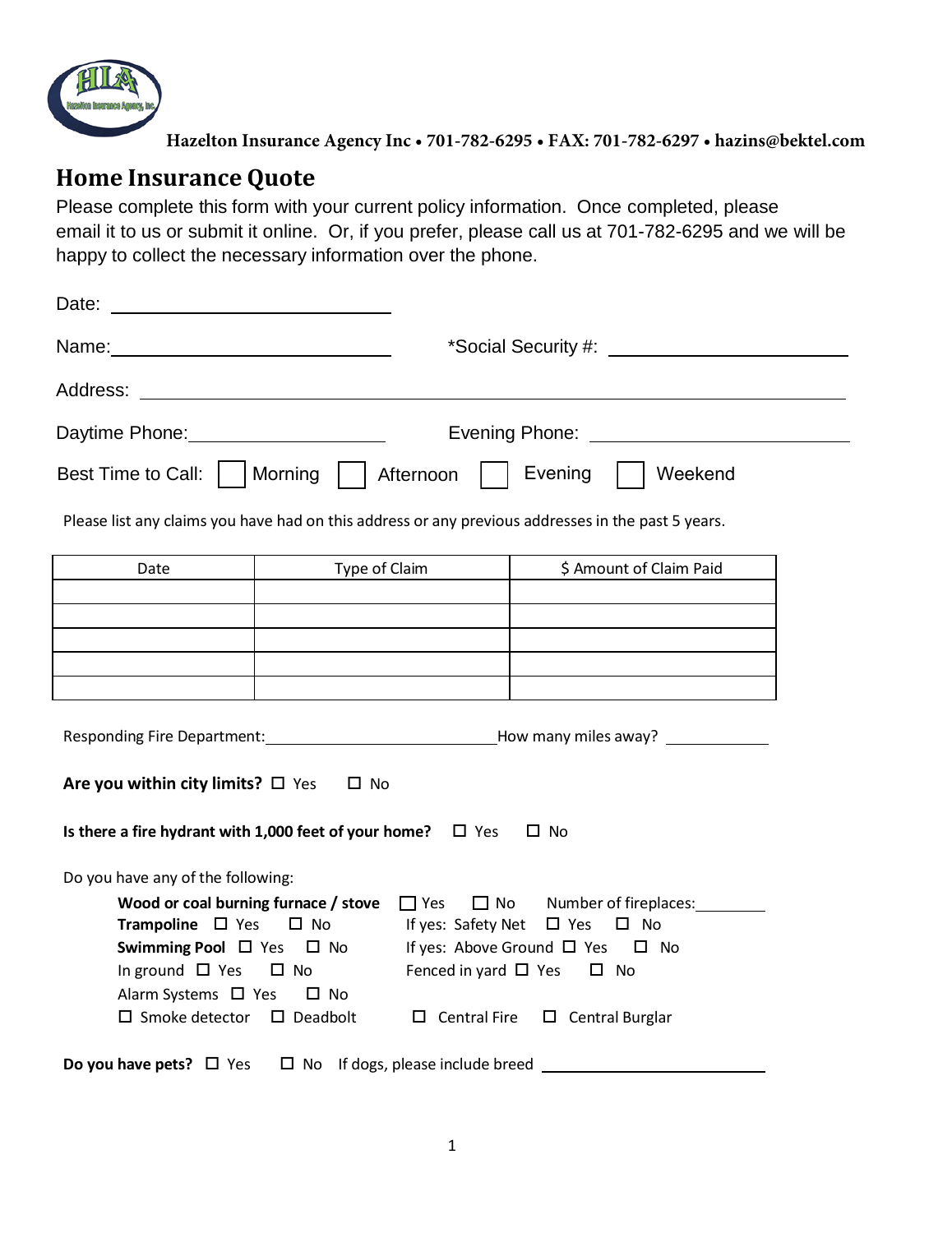

**Hazelton Insurance Agency Inc • 701-782-6295 • FAX: 701-782-6297 • hazins@bektel.com**

## **Home Insurance Quote**

Please complete this form with your current policy information. Once completed, please email it to us or submit it online. Or, if you prefer, please call us at 701-782-6295 and we will be happy to collect the necessary information over the phone.

| Date:                                                                                                                                                                                                                          |                                                                                                                                                                                                                                     |
|--------------------------------------------------------------------------------------------------------------------------------------------------------------------------------------------------------------------------------|-------------------------------------------------------------------------------------------------------------------------------------------------------------------------------------------------------------------------------------|
|                                                                                                                                                                                                                                | *Social Security #: <u>contained</u> and the second security and the second security and the second second second second second second second second second second second second second second second second second second second s |
| Address: Analysis and the contract of the contract of the contract of the contract of the contract of the contract of the contract of the contract of the contract of the contract of the contract of the contract of the cont |                                                                                                                                                                                                                                     |
| Daytime Phone: Daytime Phone:                                                                                                                                                                                                  | Evening Phone:                                                                                                                                                                                                                      |
| Best Time to Call:     Morning                                                                                                                                                                                                 | Evening<br>Afternoon<br>Weekend                                                                                                                                                                                                     |
|                                                                                                                                                                                                                                | Please list any claims you have had on this address or any previous addresses in the past 5 years.                                                                                                                                  |
| Type of Claim<br>Date                                                                                                                                                                                                          | \$ Amount of Claim Paid                                                                                                                                                                                                             |
|                                                                                                                                                                                                                                |                                                                                                                                                                                                                                     |
|                                                                                                                                                                                                                                |                                                                                                                                                                                                                                     |
|                                                                                                                                                                                                                                |                                                                                                                                                                                                                                     |
|                                                                                                                                                                                                                                |                                                                                                                                                                                                                                     |
| Are you within city limits? $\square$ Yes<br>$\square$ No                                                                                                                                                                      |                                                                                                                                                                                                                                     |
| Is there a fire hydrant with 1,000 feet of your home? $\Box$ Yes                                                                                                                                                               | $\Box$ No                                                                                                                                                                                                                           |
| Do you have any of the following:                                                                                                                                                                                              |                                                                                                                                                                                                                                     |
| Wood or coal burning furnace / stove                                                                                                                                                                                           | $\Box$ Yes<br>$\Box$ No<br>Number of fireplaces:                                                                                                                                                                                    |
| Trampoline $\Box$ Yes<br>$\square$ No<br>Swimming Pool $\Box$ Yes $\Box$ No                                                                                                                                                    | $\Box$ Yes $\Box$ No<br>If yes: Safety Net<br>If yes: Above Ground $\Box$ Yes $\Box$ No                                                                                                                                             |
| In ground $\Box$ Yes $\Box$ No                                                                                                                                                                                                 | Fenced in yard $\Box$ Yes $\Box$ No                                                                                                                                                                                                 |
| Alarm Systems □ Yes<br>$\square$ No                                                                                                                                                                                            |                                                                                                                                                                                                                                     |
| $\square$ Smoke detector $\square$ Deadbolt                                                                                                                                                                                    | $\Box$ Central Fire<br>$\square$ Central Burglar                                                                                                                                                                                    |
| Do you have pets? $\Box$ Yes                                                                                                                                                                                                   | $\Box$ No If dogs, please include breed                                                                                                                                                                                             |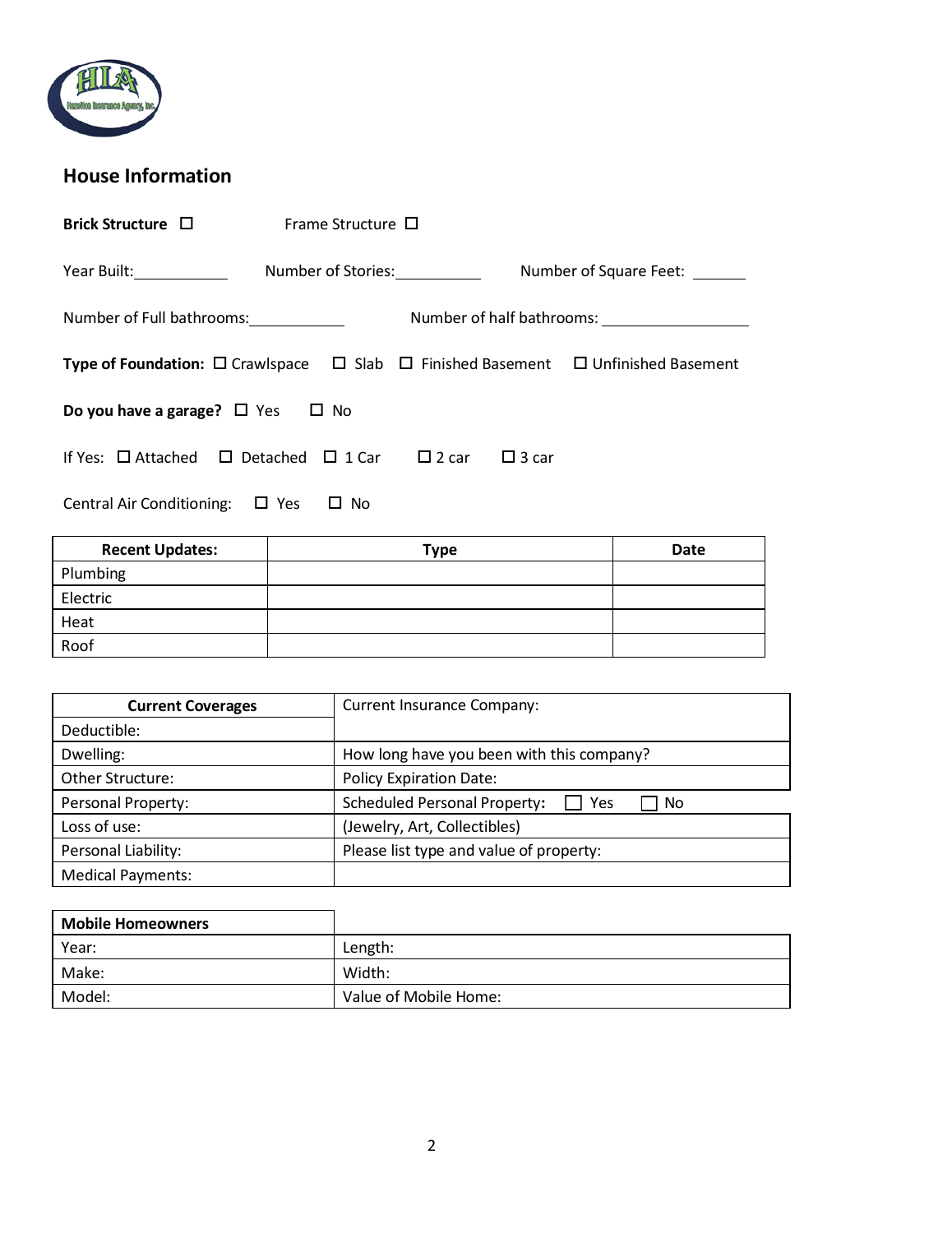

## **House Information**

| Brick Structure $\Box$                                                                                       | Frame Structure $\Box$        |              |              |                                                      |
|--------------------------------------------------------------------------------------------------------------|-------------------------------|--------------|--------------|------------------------------------------------------|
| Year Built: <u>_________________</u>                                                                         | Number of Stories:___________ |              |              | Number of Square Feet:                               |
| Number of Full bathrooms: Number of Full bathrooms:                                                          |                               |              |              | Number of half bathrooms: <u>___________________</u> |
| <b>Type of Foundation:</b> $\Box$ Crawlspace $\Box$ Slab $\Box$ Finished Basement $\Box$ Unfinished Basement |                               |              |              |                                                      |
| Do you have a garage? $\Box$ Yes<br>$\Box$ No                                                                |                               |              |              |                                                      |
| If Yes: $\Box$ Attached $\Box$ Detached $\Box$ 1 Car                                                         |                               | $\Box$ 2 car | $\Box$ 3 car |                                                      |
| Central Air Conditioning: $\Box$ Yes<br>No.<br>ப                                                             |                               |              |              |                                                      |

| <b>Recent Updates:</b> | <b>Type</b> | Date |
|------------------------|-------------|------|
| Plumbing               |             |      |
| Electric               |             |      |
| Heat                   |             |      |
| Roof                   |             |      |

| <b>Current Coverages</b> | <b>Current Insurance Company:</b>                |  |
|--------------------------|--------------------------------------------------|--|
| Deductible:              |                                                  |  |
| Dwelling:                | How long have you been with this company?        |  |
| Other Structure:         | <b>Policy Expiration Date:</b>                   |  |
| Personal Property:       | <b>Scheduled Personal Property:</b><br>Yes<br>No |  |
| Loss of use:             | (Jewelry, Art, Collectibles)                     |  |
| Personal Liability:      | Please list type and value of property:          |  |
| <b>Medical Payments:</b> |                                                  |  |

| <b>Mobile Homeowners</b> |                       |
|--------------------------|-----------------------|
| Year:                    | Length:               |
| Make:                    | Width:                |
| Model:                   | Value of Mobile Home: |